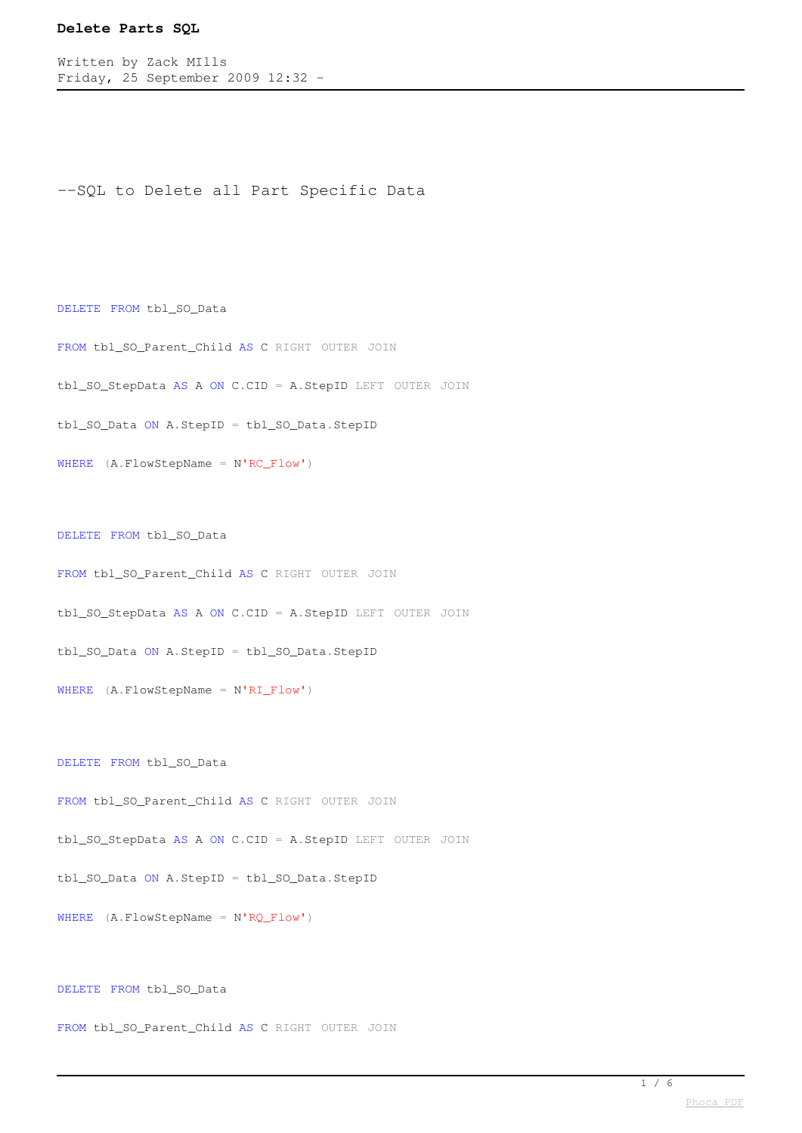Written by Zack MIlls Friday, 25 September 2009 12:32 -

```
--SQL to Delete all Part Specific Data
```
DELETE FROM tbl\_SO\_Data

FROM tbl\_SO\_Parent\_Child AS C RIGHT OUTER JOIN

tbl\_SO\_StepData AS A ON C.CID = A.StepID LEFT OUTER JOIN

tbl\_SO\_Data ON A.StepID = tbl\_SO\_Data.StepID

WHERE (A.FlowStepName = N'RC\_Flow')

DELETE FROM tbl\_SO\_Data

FROM tbl\_SO\_Parent\_Child AS C RIGHT OUTER JOIN

tbl\_SO\_StepData AS A ON C.CID = A.StepID LEFT OUTER JOIN

tbl\_SO\_Data ON A.StepID = tbl\_SO\_Data.StepID

WHERE (A.FlowStepName = N'RI\_Flow')

DELETE FROM tbl\_SO\_Data

FROM tbl\_SO\_Parent\_Child AS C RIGHT OUTER JOIN

tbl\_SO\_StepData AS A ON C.CID = A.StepID LEFT OUTER JOIN

tbl\_SO\_Data ON A.StepID = tbl\_SO\_Data.StepID

WHERE (A.FlowStepName = N'RQ\_Flow')

DELETE FROM tbl\_SO\_Data

FROM tbl\_SO\_Parent\_Child AS C RIGHT OUTER JOIN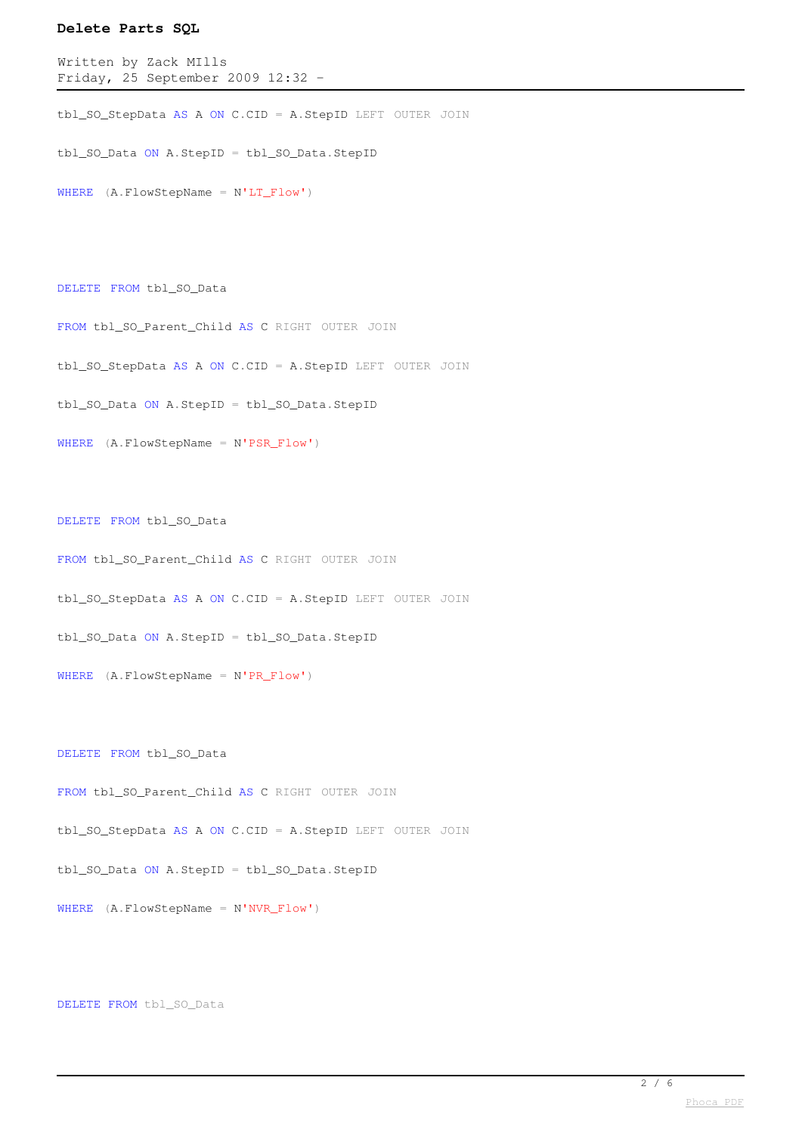Written by Zack MIlls Friday, 25 September 2009 12:32 -

tbl\_SO\_StepData AS A ON C.CID = A.StepID LEFT OUTER JOIN

tbl\_SO\_Data ON A.StepID = tbl\_SO\_Data.StepID

WHERE (A.FlowStepName = N'LT\_Flow')

DELETE FROM tbl\_SO\_Data

FROM tbl\_SO\_Parent\_Child AS C RIGHT OUTER JOIN

tbl\_SO\_StepData AS A ON C.CID = A.StepID LEFT OUTER JOIN

tbl\_SO\_Data ON A.StepID = tbl\_SO\_Data.StepID

WHERE (A.FlowStepName = N'PSR\_Flow')

DELETE FROM tbl\_SO\_Data

FROM tbl\_SO\_Parent\_Child AS C RIGHT OUTER JOIN

tbl\_SO\_StepData AS A ON C.CID = A.StepID LEFT OUTER JOIN

tbl\_SO\_Data ON A.StepID = tbl\_SO\_Data.StepID

WHERE (A.FlowStepName = N'PR\_Flow')

DELETE FROM tbl\_SO\_Data

FROM tbl\_SO\_Parent\_Child AS C RIGHT OUTER JOIN

tbl\_SO\_StepData AS A ON C.CID = A.StepID LEFT OUTER JOIN

tbl\_SO\_Data ON A.StepID = tbl\_SO\_Data.StepID

WHERE (A.FlowStepName = N'NVR\_Flow')

DELETE FROM tbl\_SO\_Data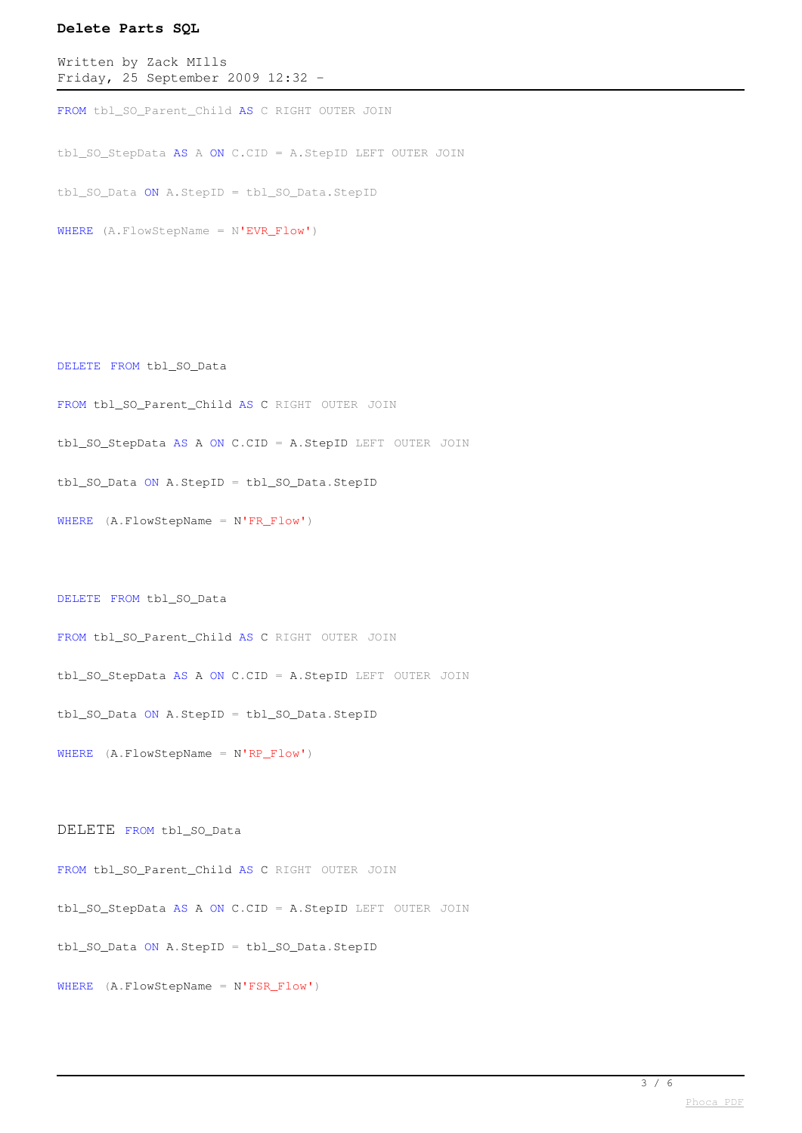```
Written by Zack MIlls
Friday, 25 September 2009 12:32 -
```
FROM tbl\_SO\_Parent\_Child AS C RIGHT OUTER JOIN

tbl\_SO\_StepData AS A ON C.CID = A.StepID LEFT OUTER JOIN

tbl\_SO\_Data ON A.StepID = tbl\_SO\_Data.StepID

WHERE (A.FlowStepName = N'EVR\_Flow')

DELETE FROM tbl\_SO\_Data

FROM tbl\_SO\_Parent\_Child AS C RIGHT OUTER JOIN

tbl\_SO\_StepData AS A ON C.CID = A.StepID LEFT OUTER JOIN

tbl\_SO\_Data ON A.StepID = tbl\_SO\_Data.StepID

WHERE (A.FlowStepName = N'FR\_Flow')

DELETE FROM tbl\_SO\_Data

FROM tbl\_SO\_Parent\_Child AS C RIGHT OUTER JOIN

tbl\_SO\_StepData AS A ON C.CID = A.StepID LEFT OUTER JOIN

tbl\_SO\_Data ON A.StepID = tbl\_SO\_Data.StepID

WHERE (A.FlowStepName = N'RP\_Flow')

DELETE FROM tbl\_SO\_Data

FROM tbl\_SO\_Parent\_Child AS C RIGHT OUTER JOIN tbl\_SO\_StepData AS A ON C.CID = A.StepID LEFT OUTER JOIN tbl\_SO\_Data ON A.StepID = tbl\_SO\_Data.StepID WHERE (A.FlowStepName = N'FSR\_Flow')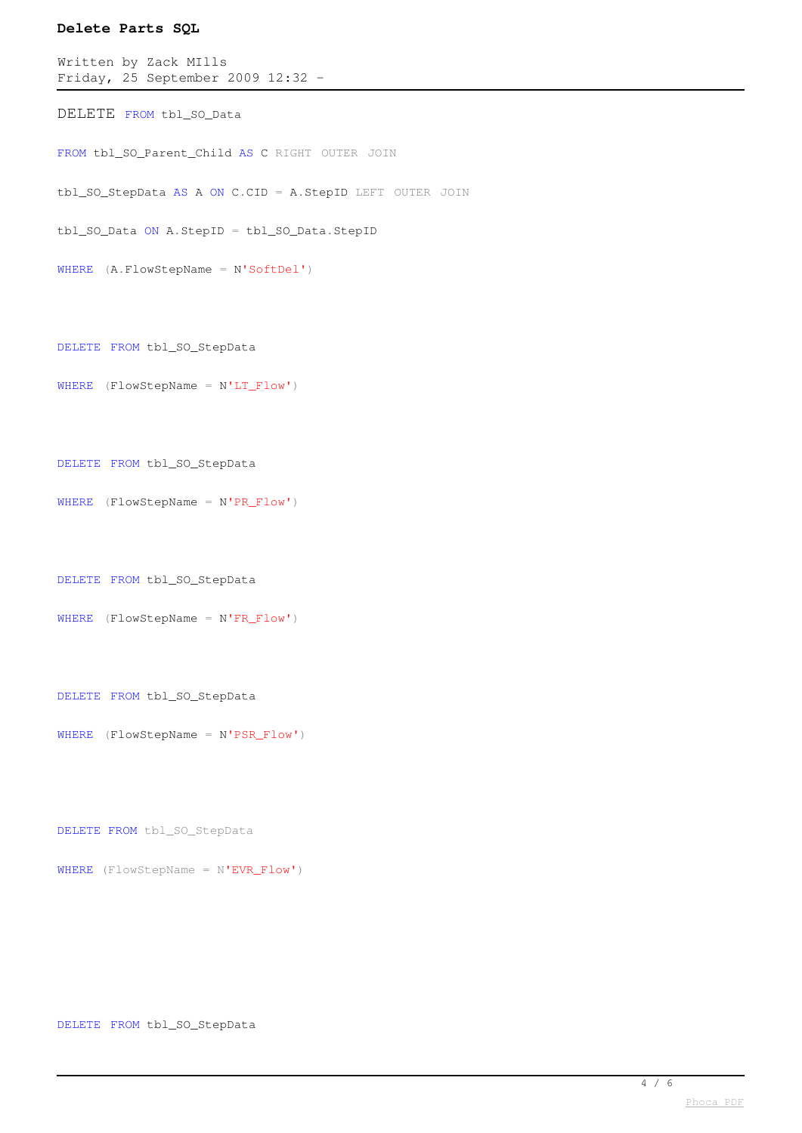```
Written by Zack MIlls
Friday, 25 September 2009 12:32 -
```
DELETE FROM tbl\_SO\_Data

FROM tbl\_SO\_Parent\_Child AS C RIGHT OUTER JOIN

tbl\_SO\_StepData AS A ON C.CID = A.StepID LEFT OUTER JOIN

tbl\_SO\_Data ON A.StepID = tbl\_SO\_Data.StepID

WHERE (A.FlowStepName = N'SoftDel')

DELETE FROM tbl\_SO\_StepData

WHERE (FlowStepName = N'LT\_Flow')

```
DELETE FROM tbl_SO_StepData
```

```
WHERE (FlowStepName = N'PR Flow')
```
DELETE FROM tbl\_SO\_StepData

```
WHERE (FlowStepName = N'FR_Flow')
```
DELETE FROM tbl\_SO\_StepData

WHERE (FlowStepName = N'PSR\_Flow')

DELETE FROM tbl\_SO\_StepData

WHERE (FlowStepName = N'EVR\_Flow')

DELETE FROM tbl\_SO\_StepData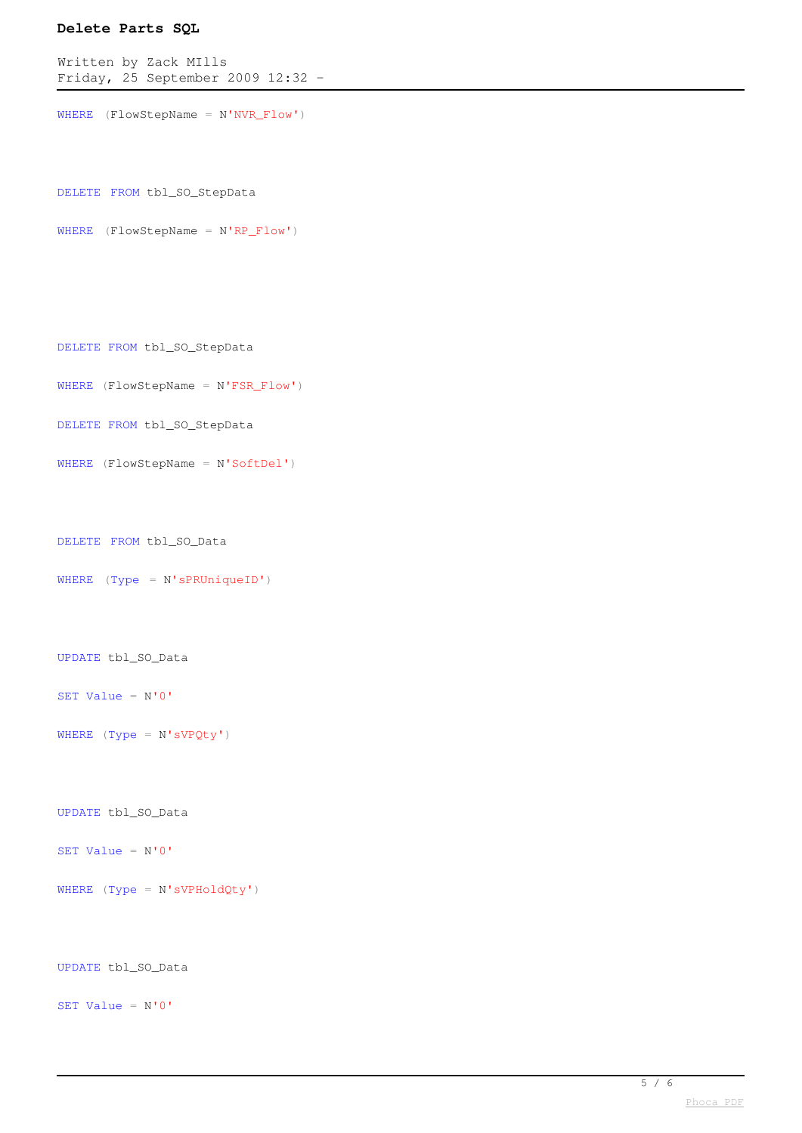Written by Zack MIlls Friday, 25 September 2009 12:32 -

```
WHERE (FlowStepName = N'NVR_Flow')
```
DELETE FROM tbl\_SO\_StepData

```
WHERE (FlowStepName = N'RP_Flow')
```

```
DELETE FROM tbl_SO_StepData
```

```
WHERE (FlowStepName = N'FSR_Flow')
```

```
DELETE FROM tbl_SO_StepData
```

```
WHERE (FlowStepName = N'SoftDel')
```
DELETE FROM tbl\_SO\_Data

```
WHERE (Type = N'sPRUniqueID')
```

```
UPDATE tbl_SO_Data
```

```
SET Value = N'0'
```

```
WHERE (\text{Type} = \text{N'sVPQty'})
```

```
UPDATE tbl_SO_Data
```
SET Value =  $N'0'$ 

WHERE (Type = N'sVPHoldQty')

UPDATE tbl\_SO\_Data

SET Value = N'0'